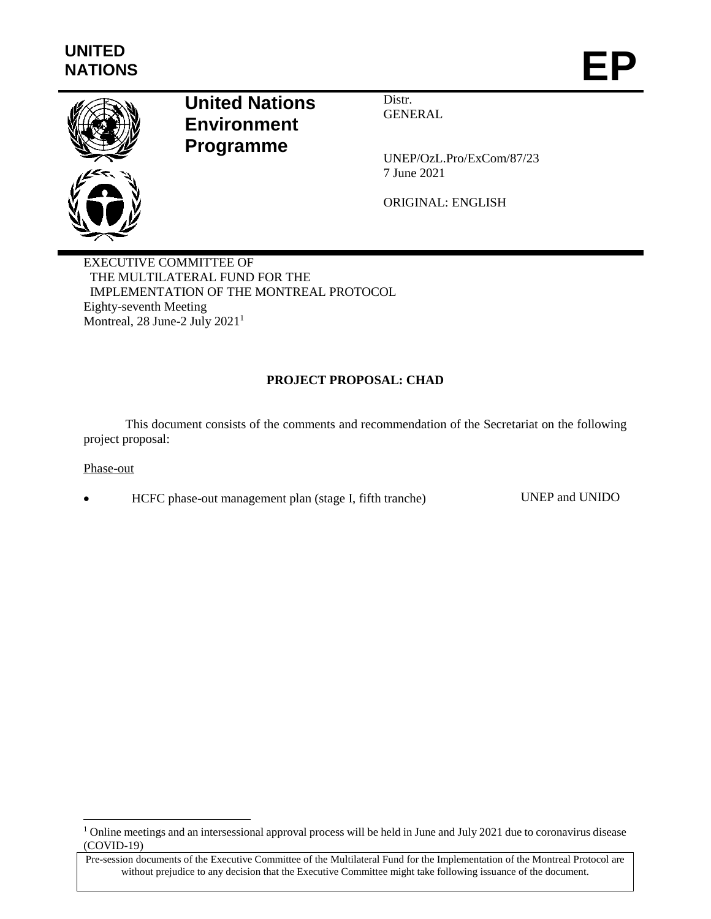

# **United Nations Environment Programme**

Distr. **GENERAL** 

UNEP/OzL.Pro/ExCom/87/23 7 June 2021

ORIGINAL: ENGLISH

EXECUTIVE COMMITTEE OF THE MULTILATERAL FUND FOR THE IMPLEMENTATION OF THE MONTREAL PROTOCOL Eighty-seventh Meeting Montreal, 28 June-2 July 2021<sup>1</sup>

# **PROJECT PROPOSAL: CHAD**

This document consists of the comments and recommendation of the Secretariat on the following project proposal:

#### Phase-out

 $\overline{a}$ 

HCFC phase-out management plan (stage I, fifth tranche) UNEP and UNIDO

<sup>&</sup>lt;sup>1</sup> Online meetings and an intersessional approval process will be held in June and July 2021 due to coronavirus disease (COVID-19)

Pre-session documents of the Executive Committee of the Multilateral Fund for the Implementation of the Montreal Protocol are without prejudice to any decision that the Executive Committee might take following issuance of the document.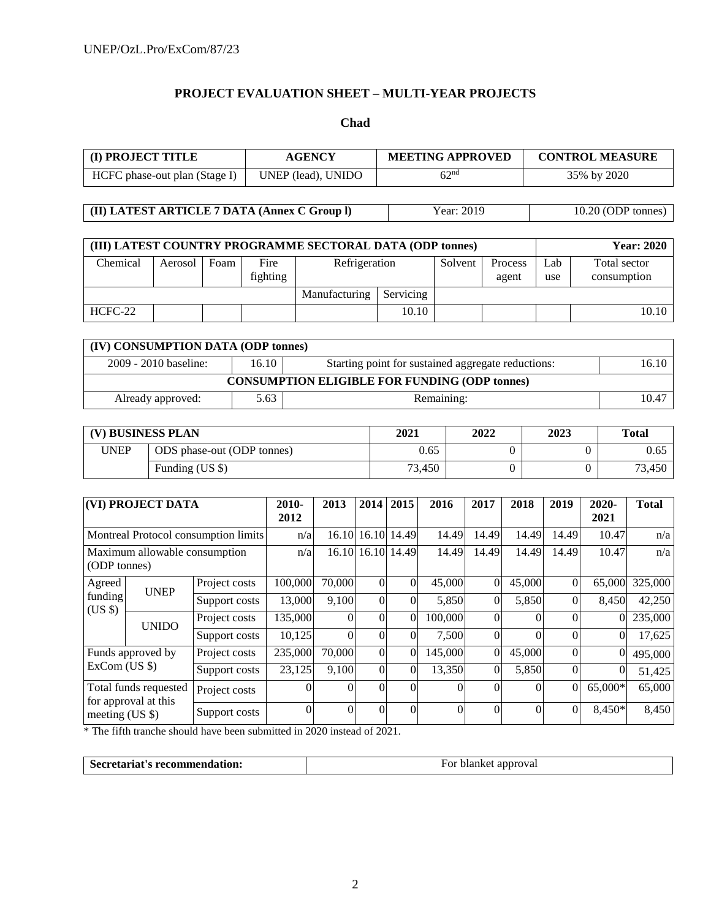# **PROJECT EVALUATION SHEET – MULTI-YEAR PROJECTS**

#### **Chad**

| (I) PROJECT TITLE<br>AGENCY   |                    | <b>MEETING APPROVED</b> | <b>CONTROL MEASURE</b> |  |  |
|-------------------------------|--------------------|-------------------------|------------------------|--|--|
| HCFC phase-out plan (Stage I) | UNEP (lead), UNIDO | 62 <sup>nd</sup>        | 35% by 2020            |  |  |

**(II) LATEST ARTICLE 7 DATA (Annex C Group I)** Year: 2019 10.20 (ODP tonnes)

| (III) LATEST COUNTRY PROGRAMME SECTORAL DATA (ODP tonnes) |         |      |                  |               |           |         |                  |            | <b>Year: 2020</b>           |
|-----------------------------------------------------------|---------|------|------------------|---------------|-----------|---------|------------------|------------|-----------------------------|
| Chemical                                                  | Aerosol | Foam | Fire<br>fighting | Refrigeration |           | Solvent | Process<br>agent | ∟ab<br>use | Total sector<br>consumption |
|                                                           |         |      |                  | Manufacturing | Servicing |         |                  |            |                             |
| HCFC-22                                                   |         |      |                  |               | 10.10     |         |                  |            | 10.10                       |

| (IV) CONSUMPTION DATA (ODP tonnes)                                                              |      |            |       |  |  |  |  |  |
|-------------------------------------------------------------------------------------------------|------|------------|-------|--|--|--|--|--|
| $2009 - 2010$ baseline:<br>16.10<br>16.10<br>Starting point for sustained aggregate reductions: |      |            |       |  |  |  |  |  |
| <b>CONSUMPTION ELIGIBLE FOR FUNDING (ODP tonnes)</b>                                            |      |            |       |  |  |  |  |  |
| Already approved:                                                                               | 5.63 | Remaining: | 10.47 |  |  |  |  |  |

| (V) BUSINESS PLAN |                            | 2021   | 2022 | 2023 | <b>Total</b> |
|-------------------|----------------------------|--------|------|------|--------------|
| UNEP              | ODS phase-out (ODP tonnes) | 0.65   |      |      | 0.65         |
|                   | Funding (US \$)            | 73.450 |      |      | 73,450       |

| (VI) PROJECT DATA                             |               | 2010-<br>2012                        | 2013     | 2014              | 2015              | 2016     | 2017     | 2018           | 2019     | 2020-<br>2021 | <b>Total</b> |         |
|-----------------------------------------------|---------------|--------------------------------------|----------|-------------------|-------------------|----------|----------|----------------|----------|---------------|--------------|---------|
|                                               |               | Montreal Protocol consumption limits | n/a      |                   | 16.10 16.10 14.49 |          | 14.49    | 14.49          | 14.49    | 14.49         | 10.47        | n/a     |
| Maximum allowable consumption<br>(ODP tonnes) |               | n/a                                  |          | 16.10 16.10 14.49 |                   | 14.49    | 14.49    | 14.49          | 14.49    | 10.47         | n/a          |         |
| Agreed                                        | <b>UNEP</b>   | Project costs                        | 100,000  | 70,000            | $\Omega$          | $\theta$ | 45,000   | $\Omega$       | 45,000   | $\Omega$      | 65,000       | 325,000 |
| funding<br>$(US \$                            |               | Support costs                        | 13,000   | 9,100             | $\Omega$          | $\theta$ | 5,850    | $\overline{0}$ | 5,850    | $\Omega$      | 8,450        | 42,250  |
| <b>UNIDO</b>                                  |               | Project costs                        | 135,000  | 0                 | $\Omega$          | $\theta$ | 100,000  | $\Omega$       | $\Omega$ | $\Omega$      | $\Omega$     | 235,000 |
|                                               |               | Support costs                        | 10,125   | $\Omega$          | $\Omega$          | $\theta$ | 7,500    | $\Omega$       |          | $\Omega$      | $\Omega$     | 17,625  |
| Funds approved by                             |               | Project costs                        | 235,000  | 70,000            | $\Omega$          | $\theta$ | 145,000  | $\Omega$       | 45,000   | 0             | $\theta$     | 495,000 |
| $ExCom$ (US $\$ )                             | Support costs | 23,125                               | 9,100    | $\Omega$          | $\theta$          | 13,350   | $\Omega$ | 5,850          | 0        | $\theta$      | 51,425       |         |
| Total funds requested<br>for approval at this | Project costs | $\theta$                             | $\Omega$ | $\Omega$          | $\theta$          |          | $\Omega$ | 0              | $\Omega$ | 65,000*       | 65,000       |         |
| meeting $(US \$                               |               | Support costs                        | $\theta$ | $\Omega$          | $\Omega$          | $\theta$ | 0        | $\Omega$       | 0        | $\Omega$      | 8,450*       | 8,450   |

\* The fifth tranche should have been submitted in 2020 instead of 2021.

| Secretariat's recommendation: | For blanket approval |
|-------------------------------|----------------------|
|                               |                      |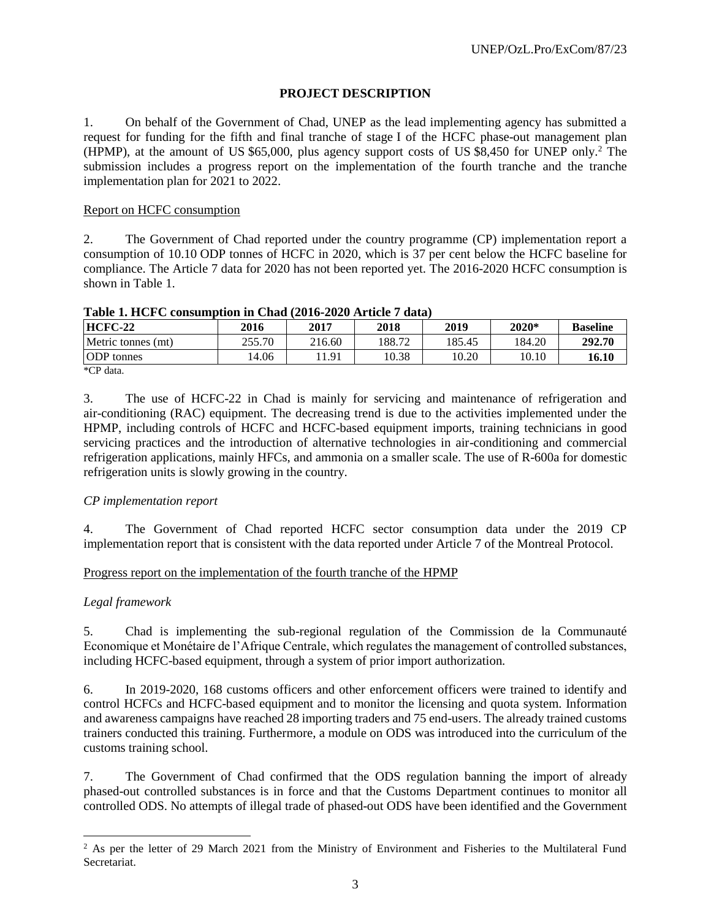# **PROJECT DESCRIPTION**

1. On behalf of the Government of Chad, UNEP as the lead implementing agency has submitted a request for funding for the fifth and final tranche of stage I of the HCFC phase-out management plan (HPMP), at the amount of US \$65,000, plus agency support costs of US \$8,450 for UNEP only.<sup>2</sup> The submission includes a progress report on the implementation of the fourth tranche and the tranche implementation plan for 2021 to 2022.

# Report on HCFC consumption

2. The Government of Chad reported under the country programme (CP) implementation report a consumption of 10.10 ODP tonnes of HCFC in 2020, which is 37 per cent below the HCFC baseline for compliance. The Article 7 data for 2020 has not been reported yet. The 2016-2020 HCFC consumption is shown in Table 1.

| <b>HCFC-22</b>     | 2016   | 2017   | 2018   | 2019   | $2020*$ | <b>Baseline</b> |
|--------------------|--------|--------|--------|--------|---------|-----------------|
| Metric tonnes (mt) | 255.70 | 216.60 | 188.72 | 185.45 | 184.20  | 292.70          |
| <b>ODP</b> tonnes  | 14.06  | 1.91   | 10.38  | 10.20  | 10.10   | 16.10           |
| $*CD$ dota         |        |        |        |        |         |                 |

#### **Table 1. HCFC consumption in Chad (2016-2020 Article 7 data)**

\*CP data.

3. The use of HCFC-22 in Chad is mainly for servicing and maintenance of refrigeration and air-conditioning (RAC) equipment. The decreasing trend is due to the activities implemented under the HPMP, including controls of HCFC and HCFC-based equipment imports, training technicians in good servicing practices and the introduction of alternative technologies in air-conditioning and commercial refrigeration applications, mainly HFCs, and ammonia on a smaller scale. The use of R-600a for domestic refrigeration units is slowly growing in the country.

#### *CP implementation report*

4. The Government of Chad reported HCFC sector consumption data under the 2019 CP implementation report that is consistent with the data reported under Article 7 of the Montreal Protocol.

#### Progress report on the implementation of the fourth tranche of the HPMP

#### *Legal framework*

 $\overline{a}$ 

5. Chad is implementing the sub-regional regulation of the Commission de la Communauté Economique et Monétaire de l'Afrique Centrale, which regulates the management of controlled substances, including HCFC-based equipment, through a system of prior import authorization.

6. In 2019-2020, 168 customs officers and other enforcement officers were trained to identify and control HCFCs and HCFC-based equipment and to monitor the licensing and quota system. Information and awareness campaigns have reached 28 importing traders and 75 end-users. The already trained customs trainers conducted this training. Furthermore, a module on ODS was introduced into the curriculum of the customs training school.

7. The Government of Chad confirmed that the ODS regulation banning the import of already phased-out controlled substances is in force and that the Customs Department continues to monitor all controlled ODS. No attempts of illegal trade of phased-out ODS have been identified and the Government

<sup>&</sup>lt;sup>2</sup> As per the letter of 29 March 2021 from the Ministry of Environment and Fisheries to the Multilateral Fund Secretariat.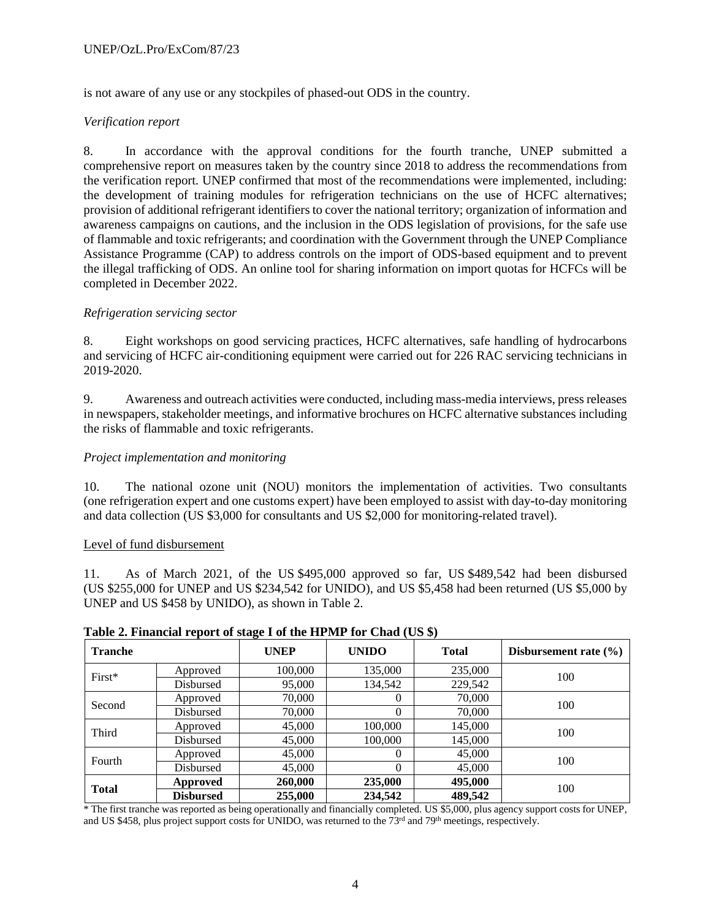is not aware of any use or any stockpiles of phased-out ODS in the country.

# *Verification report*

8. In accordance with the approval conditions for the fourth tranche, UNEP submitted a comprehensive report on measures taken by the country since 2018 to address the recommendations from the verification report. UNEP confirmed that most of the recommendations were implemented, including: the development of training modules for refrigeration technicians on the use of HCFC alternatives; provision of additional refrigerant identifiers to cover the national territory; organization of information and awareness campaigns on cautions, and the inclusion in the ODS legislation of provisions, for the safe use of flammable and toxic refrigerants; and coordination with the Government through the UNEP Compliance Assistance Programme (CAP) to address controls on the import of ODS-based equipment and to prevent the illegal trafficking of ODS. An online tool for sharing information on import quotas for HCFCs will be completed in December 2022.

# *Refrigeration servicing sector*

8. Eight workshops on good servicing practices, HCFC alternatives, safe handling of hydrocarbons and servicing of HCFC air-conditioning equipment were carried out for 226 RAC servicing technicians in 2019-2020.

9. Awareness and outreach activities were conducted, including mass-media interviews, press releases in newspapers, stakeholder meetings, and informative brochures on HCFC alternative substances including the risks of flammable and toxic refrigerants.

# *Project implementation and monitoring*

10. The national ozone unit (NOU) monitors the implementation of activities. Two consultants (one refrigeration expert and one customs expert) have been employed to assist with day**-**to**-**day monitoring and data collection (US \$3,000 for consultants and US \$2,000 for monitoring-related travel).

#### Level of fund disbursement

11. As of March 2021, of the US \$495,000 approved so far, US \$489,542 had been disbursed (US \$255,000 for UNEP and US \$234,542 for UNIDO), and US \$5,458 had been returned (US \$5,000 by UNEP and US \$458 by UNIDO), as shown in Table 2.

#### **Table 2. Financial report of stage I of the HPMP for Chad (US \$)**

| <b>Tranche</b> |                  | 0<br><b>UNEP</b> | <b>UNIDO</b> | <b>Total</b> | Disbursement rate $(\% )$ |
|----------------|------------------|------------------|--------------|--------------|---------------------------|
| $First*$       | Approved         | 100,000          | 135,000      | 235,000      | 100                       |
|                | Disbursed        | 95,000           | 134,542      | 229,542      |                           |
| Second         | Approved         | 70,000           | $^{(1)}$     | 70,000       | 100                       |
|                | Disbursed        | 70,000           | 0            | 70,000       |                           |
| Third          | Approved         | 45,000           | 100,000      | 145,000      | 100                       |
|                | Disbursed        | 45,000           | 100,000      | 145,000      |                           |
| Fourth         | Approved         | 45,000           | $^{(1)}$     | 45,000       | 100                       |
|                | Disbursed        | 45,000           | 0            | 45,000       |                           |
| <b>Total</b>   | Approved         | 260,000          | 235,000      | 495,000      | 100                       |
|                | <b>Disbursed</b> | 255,000          | 234,542      | 489,542      |                           |

\* The first tranche was reported as being operationally and financially completed. US \$5,000, plus agency support costs for UNEP, and US \$458, plus project support costs for UNIDO, was returned to the 73<sup>rd</sup> and 79<sup>th</sup> meetings, respectively.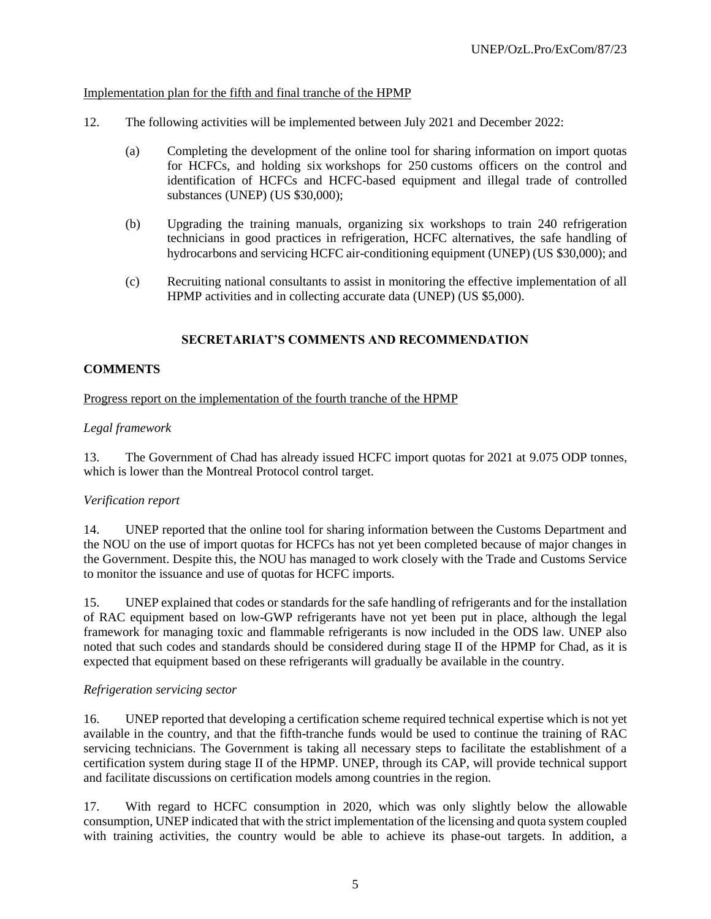# Implementation plan for the fifth and final tranche of the HPMP

- 12. The following activities will be implemented between July 2021 and December 2022:
	- (a) Completing the development of the online tool for sharing information on import quotas for HCFCs, and holding six workshops for 250 customs officers on the control and identification of HCFCs and HCFC-based equipment and illegal trade of controlled substances (UNEP) (US \$30,000);
	- (b) Upgrading the training manuals, organizing six workshops to train 240 refrigeration technicians in good practices in refrigeration, HCFC alternatives, the safe handling of hydrocarbons and servicing HCFC air-conditioning equipment (UNEP) (US \$30,000); and
	- (c) Recruiting national consultants to assist in monitoring the effective implementation of all HPMP activities and in collecting accurate data (UNEP) (US \$5,000).

# **SECRETARIAT'S COMMENTS AND RECOMMENDATION**

# **COMMENTS**

#### Progress report on the implementation of the fourth tranche of the HPMP

# *Legal framework*

13. The Government of Chad has already issued HCFC import quotas for 2021 at 9.075 ODP tonnes, which is lower than the Montreal Protocol control target.

#### *Verification report*

14. UNEP reported that the online tool for sharing information between the Customs Department and the NOU on the use of import quotas for HCFCs has not yet been completed because of major changes in the Government. Despite this, the NOU has managed to work closely with the Trade and Customs Service to monitor the issuance and use of quotas for HCFC imports.

15. UNEP explained that codes or standards for the safe handling of refrigerants and for the installation of RAC equipment based on low-GWP refrigerants have not yet been put in place, although the legal framework for managing toxic and flammable refrigerants is now included in the ODS law. UNEP also noted that such codes and standards should be considered during stage II of the HPMP for Chad, as it is expected that equipment based on these refrigerants will gradually be available in the country.

#### *Refrigeration servicing sector*

16. UNEP reported that developing a certification scheme required technical expertise which is not yet available in the country, and that the fifth-tranche funds would be used to continue the training of RAC servicing technicians. The Government is taking all necessary steps to facilitate the establishment of a certification system during stage II of the HPMP. UNEP, through its CAP, will provide technical support and facilitate discussions on certification models among countries in the region.

17. With regard to HCFC consumption in 2020, which was only slightly below the allowable consumption, UNEP indicated that with the strict implementation of the licensing and quota system coupled with training activities, the country would be able to achieve its phase-out targets. In addition, a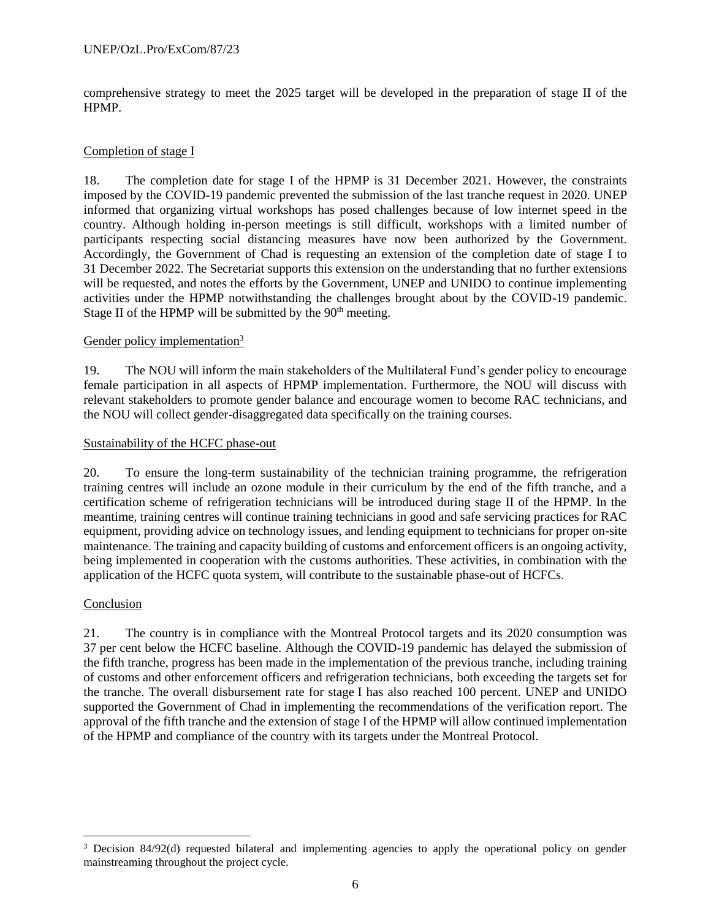comprehensive strategy to meet the 2025 target will be developed in the preparation of stage II of the HPMP.

#### Completion of stage I

18. The completion date for stage I of the HPMP is 31 December 2021. However, the constraints imposed by the COVID-19 pandemic prevented the submission of the last tranche request in 2020. UNEP informed that organizing virtual workshops has posed challenges because of low internet speed in the country. Although holding in-person meetings is still difficult, workshops with a limited number of participants respecting social distancing measures have now been authorized by the Government. Accordingly, the Government of Chad is requesting an extension of the completion date of stage I to 31 December 2022. The Secretariat supports this extension on the understanding that no further extensions will be requested, and notes the efforts by the Government, UNEP and UNIDO to continue implementing activities under the HPMP notwithstanding the challenges brought about by the COVID-19 pandemic. Stage II of the HPMP will be submitted by the  $90<sup>th</sup>$  meeting.

#### Gender policy implementation<sup>3</sup>

19. The NOU will inform the main stakeholders of the Multilateral Fund's gender policy to encourage female participation in all aspects of HPMP implementation. Furthermore, the NOU will discuss with relevant stakeholders to promote gender balance and encourage women to become RAC technicians, and the NOU will collect gender-disaggregated data specifically on the training courses.

#### Sustainability of the HCFC phase-out

20. To ensure the long-term sustainability of the technician training programme, the refrigeration training centres will include an ozone module in their curriculum by the end of the fifth tranche, and a certification scheme of refrigeration technicians will be introduced during stage II of the HPMP. In the meantime, training centres will continue training technicians in good and safe servicing practices for RAC equipment, providing advice on technology issues, and lending equipment to technicians for proper on-site maintenance. The training and capacity building of customs and enforcement officers is an ongoing activity, being implemented in cooperation with the customs authorities. These activities, in combination with the application of the HCFC quota system, will contribute to the sustainable phase-out of HCFCs.

#### Conclusion

 $\overline{a}$ 

21. The country is in compliance with the Montreal Protocol targets and its 2020 consumption was 37 per cent below the HCFC baseline. Although the COVID-19 pandemic has delayed the submission of the fifth tranche, progress has been made in the implementation of the previous tranche, including training of customs and other enforcement officers and refrigeration technicians, both exceeding the targets set for the tranche. The overall disbursement rate for stage I has also reached 100 percent. UNEP and UNIDO supported the Government of Chad in implementing the recommendations of the verification report. The approval of the fifth tranche and the extension of stage I of the HPMP will allow continued implementation of the HPMP and compliance of the country with its targets under the Montreal Protocol.

<sup>&</sup>lt;sup>3</sup> Decision 84/92(d) requested bilateral and implementing agencies to apply the operational policy on gender mainstreaming throughout the project cycle.